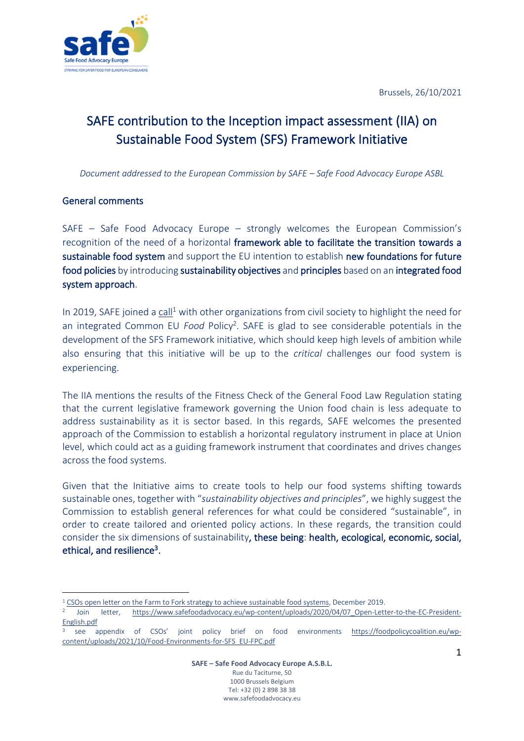Brussels, 26/10/2021



# SAFE contribution to the Inception impact assessment (IIA) on Sustainable Food System (SFS) Framework Initiative

*Document addressed to the European Commission by SAFE – Safe Food Advocacy Europe ASBL*

## General comments

SAFE – Safe Food Advocacy Europe – strongly welcomes the European Commission's recognition of the need of a horizontal framework able to facilitate the transition towards a sustainable food system and support the EU intention to establish new foundations for future food policies by introducing sustainability objectives and principles based on an integrated food system approach.

In 2019, SAFE joined a [call](https://www.beuc.eu/publications/beuc-x-2019-092_csos_open_letter_on_the_farm_to_fork_strategy_to_achieve_sustainable_food_systems_.pdf)<sup>1</sup> with other organizations from civil society to highlight the need for an integrated Common EU *Food* Policy<sup>2</sup> . SAFE is glad to see considerable potentials in the development of the SFS Framework initiative, which should keep high levels of ambition while also ensuring that this initiative will be up to the *critical* challenges our food system is experiencing.

The IIA mentions the results of the Fitness Check of the General Food Law Regulation stating that the current legislative framework governing the Union food chain is less adequate to address sustainability as it is sector based. In this regards, SAFE welcomes the presented approach of the Commission to establish a horizontal regulatory instrument in place at Union level, which could act as a guiding framework instrument that coordinates and drives changes across the food systems.

Given that the Initiative aims to create tools to help our food systems shifting towards sustainable ones, together with "*sustainability objectives and principles*", we highly suggest the Commission to establish general references for what could be considered "sustainable", in order to create tailored and oriented policy actions. In these regards, the transition could consider the six dimensions of sustainability, these being: health, ecological, economic, social, ethical, and resilience<sup>3</sup>.

<sup>&</sup>lt;sup>1</sup> [CSOs open letter on the Farm to Fork strategy to achieve sustainable food systems,](https://www.safefoodadvocacy.eu/wp-content/uploads/2020/04/19.-EU-FPC_Open-Letter-F2F.pdf) December 2019.

<sup>2</sup> Join letter, [https://www.safefoodadvocacy.eu/wp-content/uploads/2020/04/07\\_Open-Letter-to-the-EC-President-](https://www.safefoodadvocacy.eu/wp-content/uploads/2020/04/07_Open-Letter-to-the-EC-President-English.pdf)[English.pdf](https://www.safefoodadvocacy.eu/wp-content/uploads/2020/04/07_Open-Letter-to-the-EC-President-English.pdf)

<sup>3</sup> see appendix of CSOs' joint policy brief on food environments [https://foodpolicycoalition.eu/wp](https://foodpolicycoalition.eu/wp-content/uploads/2021/10/Food-Environments-for-SFS_EU-FPC.pdf)[content/uploads/2021/10/Food-Environments-for-SFS\\_EU-FPC.pdf](https://foodpolicycoalition.eu/wp-content/uploads/2021/10/Food-Environments-for-SFS_EU-FPC.pdf)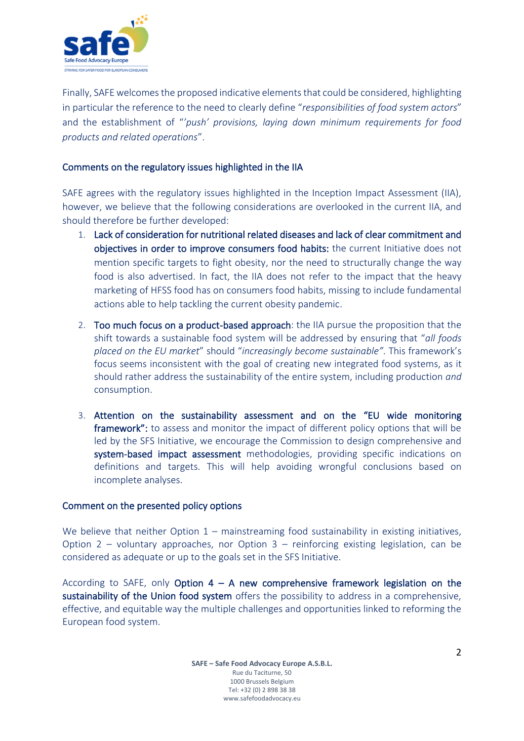

Finally, SAFE welcomesthe proposed indicative elementsthat could be considered, highlighting in particular the reference to the need to clearly define "*responsibilities of food system actors*" and the establishment of "*'push' provisions, laying down minimum requirements for food products and related operations*".

### Comments on the regulatory issues highlighted in the IIA

SAFE agrees with the regulatory issues highlighted in the Inception Impact Assessment (IIA), however, we believe that the following considerations are overlooked in the current IIA, and should therefore be further developed:

- 1. Lack of consideration for nutritional related diseases and lack of clear commitment and objectives in order to improve consumers food habits: the current Initiative does not mention specific targets to fight obesity, nor the need to structurally change the way food is also advertised. In fact, the IIA does not refer to the impact that the heavy marketing of HFSS food has on consumers food habits, missing to include fundamental actions able to help tackling the current obesity pandemic.
- 2. Too much focus on a product-based approach: the IIA pursue the proposition that the shift towards a sustainable food system will be addressed by ensuring that "*all foods placed on the EU market*" should "*increasingly become sustainable"*. This framework's focus seems inconsistent with the goal of creating new integrated food systems, as it should rather address the sustainability of the entire system, including production *and* consumption.
- 3. Attention on the sustainability assessment and on the "EU wide monitoring framework": to assess and monitor the impact of different policy options that will be led by the SFS Initiative, we encourage the Commission to design comprehensive and system-based impact assessment methodologies, providing specific indications on definitions and targets. This will help avoiding wrongful conclusions based on incomplete analyses.

#### Comment on the presented policy options

We believe that neither Option  $1 -$  mainstreaming food sustainability in existing initiatives, Option 2 – voluntary approaches, nor Option 3 – reinforcing existing legislation, can be considered as adequate or up to the goals set in the SFS Initiative.

According to SAFE, only Option  $4 - A$  new comprehensive framework legislation on the sustainability of the Union food system offers the possibility to address in a comprehensive, effective, and equitable way the multiple challenges and opportunities linked to reforming the European food system.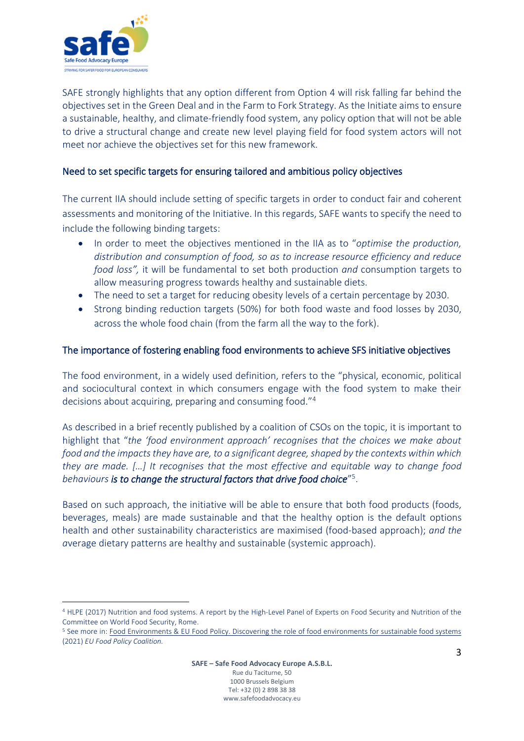

SAFE strongly highlights that any option different from Option 4 will risk falling far behind the objectives set in the Green Deal and in the Farm to Fork Strategy. As the Initiate aims to ensure a sustainable, healthy, and climate-friendly food system, any policy option that will not be able to drive a structural change and create new level playing field for food system actors will not meet nor achieve the objectives set for this new framework.

## Need to set specific targets for ensuring tailored and ambitious policy objectives

The current IIA should include setting of specific targets in order to conduct fair and coherent assessments and monitoring of the Initiative. In this regards, SAFE wants to specify the need to include the following binding targets:

- In order to meet the objectives mentioned in the IIA as to "*optimise the production, distribution and consumption of food, so as to increase resource efficiency and reduce food loss",* it will be fundamental to set both production *and* consumption targets to allow measuring progress towards healthy and sustainable diets.
- The need to set a target for reducing obesity levels of a certain percentage by 2030.
- Strong binding reduction targets (50%) for both food waste and food losses by 2030, across the whole food chain (from the farm all the way to the fork).

## The importance of fostering enabling food environments to achieve SFS initiative objectives

The food environment, in a widely used definition, refers to the "physical, economic, political and sociocultural context in which consumers engage with the food system to make their decisions about acquiring, preparing and consuming food."<sup>4</sup>

As described in a brief recently published by a coalition of CSOs on the topic, it is important to highlight that "*the 'food environment approach' recognises that the choices we make about food and the impacts they have are, to a significant degree, shaped by the contexts within which they are made. […] It recognises that the most effective and equitable way to change food behaviours is to change the structural factors that drive food choice*" 5 .

Based on such approach, the initiative will be able to ensure that both food products (foods, beverages, meals) are made sustainable and that the healthy option is the default options health and other sustainability characteristics are maximised (food-based approach); *and the a*verage dietary patterns are healthy and sustainable (systemic approach).

<sup>4</sup> HLPE (2017) Nutrition and food systems. A report by the High-Level Panel of Experts on Food Security and Nutrition of the Committee on World Food Security, Rome.

<sup>5</sup> See more in: Food [Environments & EU Food Policy. Discovering the role of food environments for sustainable food systems](https://epha.org/policy-briefing-i-discovering-the-role-of-food-environments-for-sustainable-food-systems/) (2021) *EU Food Policy Coalition.*